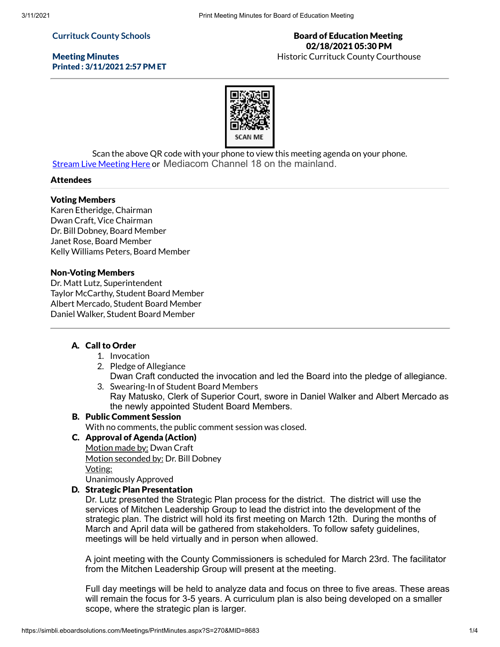## **Currituck County Schools**

## Meeting Minutes Printed : 3/11/2021 2:57 PM ET

## Board of Education Meeting 02/18/2021 05:30 PM

Historic Currituck County Courthouse



Scan the above QR code with your phone to view this meeting agenda on your phone. Stream Live [Meeting](http://currituckcountync.iqm2.com/Citizens/default.aspx) Here or Mediacom Channel 18 on the mainland.

#### Attendees

#### Voting Members

Karen Etheridge, Chairman Dwan Craft, Vice Chairman Dr. Bill Dobney, Board Member Janet Rose, Board Member Kelly Williams Peters, Board Member

#### Non-Voting Members

Dr. Matt Lutz, Superintendent Taylor McCarthy, Student Board Member Albert Mercado, Student Board Member Daniel Walker, Student Board Member

## A. Call to Order

- 1. Invocation
- 2. Pledge of Allegiance
- Dwan Craft conducted the invocation and led the Board into the pledge of allegiance. 3. Swearing-In of Student Board Members
	- Ray Matusko, Clerk of Superior Court, swore in Daniel Walker and Albert Mercado as the newly appointed Student Board Members.

#### B. Public Comment Session

With no comments, the public comment session was closed.

## C. Approval of Agenda (Action)

Motion made by: Dwan Craft Motion seconded by: Dr. Bill Dobney Voting: Unanimously Approved

#### D. Strategic Plan Presentation

Dr. Lutz presented the Strategic Plan process for the district. The district will use the services of Mitchen Leadership Group to lead the district into the development of the strategic plan. The district will hold its first meeting on March 12th. During the months of March and April data will be gathered from stakeholders. To follow safety guidelines, meetings will be held virtually and in person when allowed.

A joint meeting with the County Commissioners is scheduled for March 23rd. The facilitator from the Mitchen Leadership Group will present at the meeting.

Full day meetings will be held to analyze data and focus on three to five areas. These areas will remain the focus for 3-5 years. A curriculum plan is also being developed on a smaller scope, where the strategic plan is larger.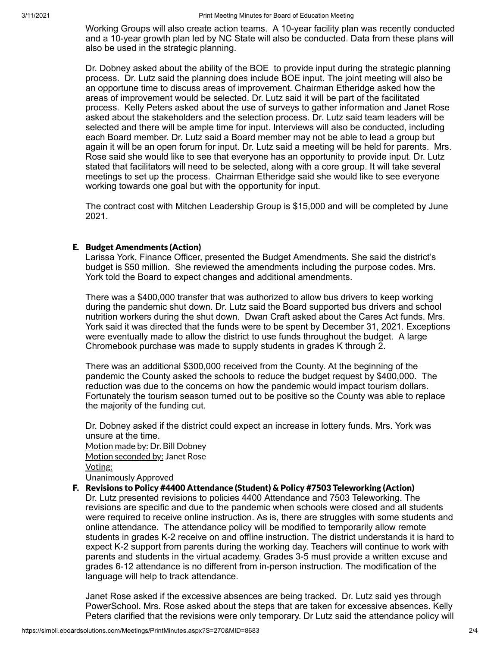Working Groups will also create action teams. A 10-year facility plan was recently conducted and a 10-year growth plan led by NC State will also be conducted. Data from these plans will also be used in the strategic planning.

Dr. Dobney asked about the ability of the BOE to provide input during the strategic planning process. Dr. Lutz said the planning does include BOE input. The joint meeting will also be an opportune time to discuss areas of improvement. Chairman Etheridge asked how the areas of improvement would be selected. Dr. Lutz said it will be part of the facilitated process. Kelly Peters asked about the use of surveys to gather information and Janet Rose asked about the stakeholders and the selection process. Dr. Lutz said team leaders will be selected and there will be ample time for input. Interviews will also be conducted, including each Board member. Dr. Lutz said a Board member may not be able to lead a group but again it will be an open forum for input. Dr. Lutz said a meeting will be held for parents. Mrs. Rose said she would like to see that everyone has an opportunity to provide input. Dr. Lutz stated that facilitators will need to be selected, along with a core group. It will take several meetings to set up the process. Chairman Etheridge said she would like to see everyone working towards one goal but with the opportunity for input.

The contract cost with Mitchen Leadership Group is \$15,000 and will be completed by June 2021.

## E. Budget Amendments (Action)

Larissa York, Finance Officer, presented the Budget Amendments. She said the district's budget is \$50 million. She reviewed the amendments including the purpose codes. Mrs. York told the Board to expect changes and additional amendments.

There was a \$400,000 transfer that was authorized to allow bus drivers to keep working during the pandemic shut down. Dr. Lutz said the Board supported bus drivers and school nutrition workers during the shut down. Dwan Craft asked about the Cares Act funds. Mrs. York said it was directed that the funds were to be spent by December 31, 2021. Exceptions were eventually made to allow the district to use funds throughout the budget. A large Chromebook purchase was made to supply students in grades K through 2.

There was an additional \$300,000 received from the County. At the beginning of the pandemic the County asked the schools to reduce the budget request by \$400,000. The reduction was due to the concerns on how the pandemic would impact tourism dollars. Fortunately the tourism season turned out to be positive so the County was able to replace the majority of the funding cut.

Dr. Dobney asked if the district could expect an increase in lottery funds. Mrs. York was unsure at the time. Motion made by: Dr. Bill Dobney Motion seconded by: Janet Rose Voting: Unanimously Approved

#### F. Revisions to Policy #4400 Attendance (Student) & Policy #7503 Teleworking (Action)

Dr. Lutz presented revisions to policies 4400 Attendance and 7503 Teleworking. The revisions are specific and due to the pandemic when schools were closed and all students were required to receive online instruction. As is, there are struggles with some students and online attendance. The attendance policy will be modified to temporarily allow remote students in grades K-2 receive on and offline instruction. The district understands it is hard to expect K-2 support from parents during the working day. Teachers will continue to work with parents and students in the virtual academy. Grades 3-5 must provide a written excuse and grades 6-12 attendance is no different from in-person instruction. The modification of the language will help to track attendance.

Janet Rose asked if the excessive absences are being tracked. Dr. Lutz said yes through PowerSchool. Mrs. Rose asked about the steps that are taken for excessive absences. Kelly Peters clarified that the revisions were only temporary. Dr Lutz said the attendance policy will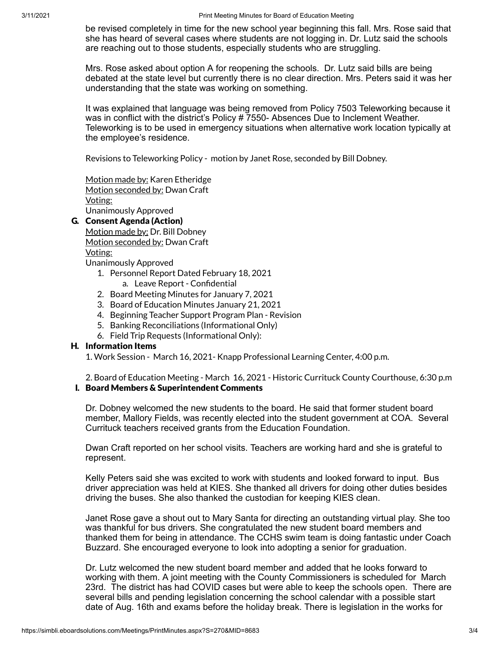be revised completely in time for the new school year beginning this fall. Mrs. Rose said that she has heard of several cases where students are not logging in. Dr. Lutz said the schools are reaching out to those students, especially students who are struggling.

Mrs. Rose asked about option A for reopening the schools. Dr. Lutz said bills are being debated at the state level but currently there is no clear direction. Mrs. Peters said it was her understanding that the state was working on something.

It was explained that language was being removed from Policy 7503 Teleworking because it was in conflict with the district's Policy # 7550- Absences Due to Inclement Weather. Teleworking is to be used in emergency situations when alternative work location typically at the employee's residence.

Revisions to Teleworking Policy - motion by Janet Rose, seconded by Bill Dobney.

Motion made by: Karen Etheridge Motion seconded by: Dwan Craft Voting: Unanimously Approved

## G. Consent Agenda (Action)

Motion made by: Dr. Bill Dobney Motion seconded by: Dwan Craft Voting: Unanimously Approved

- 1. Personnel Report Dated February 18, 2021
	- a. Leave Report Confidential
- 2. Board Meeting Minutes for January 7, 2021
- 3. Board of Education Minutes January 21, 2021
- 4. Beginning Teacher Support Program Plan Revision
- 5. Banking Reconciliations (Informational Only)
- 6. Field Trip Requests (Informational Only):

## H. Information Items

1. Work Session - March 16, 2021- Knapp Professional Learning Center, 4:00 p.m.

2. Board of Education Meeting - March 16, 2021 - Historic Currituck County Courthouse, 6:30 p.m I. Board Members & Superintendent Comments

Dr. Dobney welcomed the new students to the board. He said that former student board member, Mallory Fields, was recently elected into the student government at COA. Several Currituck teachers received grants from the Education Foundation.

Dwan Craft reported on her school visits. Teachers are working hard and she is grateful to represent.

Kelly Peters said she was excited to work with students and looked forward to input. Bus driver appreciation was held at KIES. She thanked all drivers for doing other duties besides driving the buses. She also thanked the custodian for keeping KIES clean.

Janet Rose gave a shout out to Mary Santa for directing an outstanding virtual play. She too was thankful for bus drivers. She congratulated the new student board members and thanked them for being in attendance. The CCHS swim team is doing fantastic under Coach Buzzard. She encouraged everyone to look into adopting a senior for graduation.

Dr. Lutz welcomed the new student board member and added that he looks forward to working with them. A joint meeting with the County Commissioners is scheduled for March 23rd. The district has had COVID cases but were able to keep the schools open. There are several bills and pending legislation concerning the school calendar with a possible start date of Aug. 16th and exams before the holiday break. There is legislation in the works for